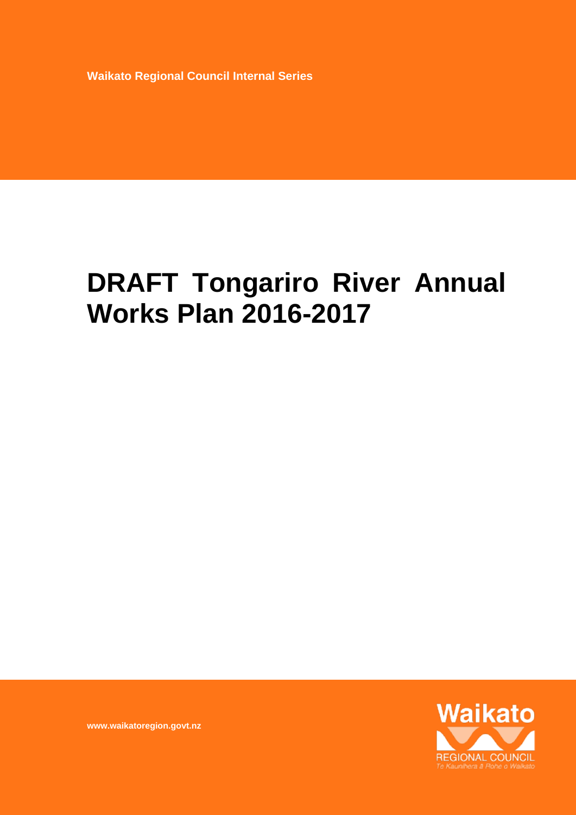**Waikato Regional Council Internal Series** 

# **DRAFT Tongariro River Annual Works Plan 2016-2017**



**www.waikatoregion.govt.nz**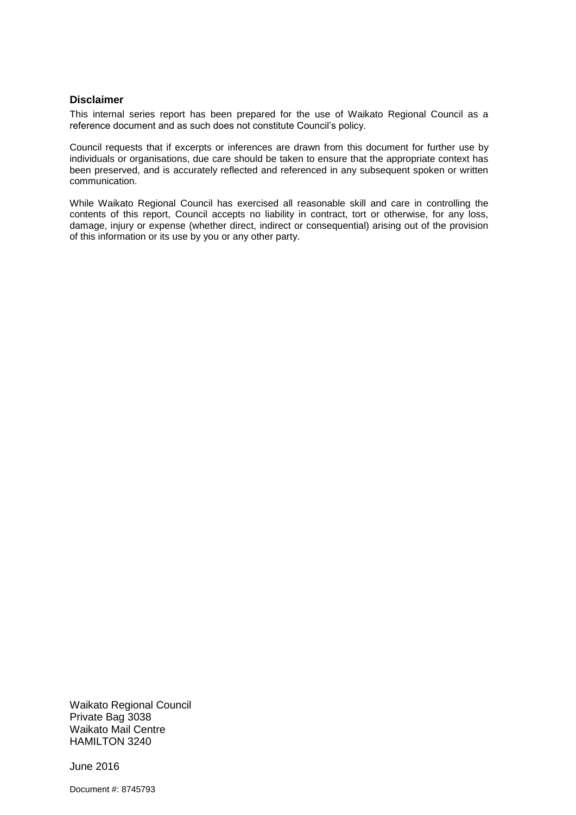#### **Disclaimer**

This internal series report has been prepared for the use of Waikato Regional Council as a reference document and as such does not constitute Council's policy.

Council requests that if excerpts or inferences are drawn from this document for further use by individuals or organisations, due care should be taken to ensure that the appropriate context has been preserved, and is accurately reflected and referenced in any subsequent spoken or written communication.

While Waikato Regional Council has exercised all reasonable skill and care in controlling the contents of this report, Council accepts no liability in contract, tort or otherwise, for any loss, damage, injury or expense (whether direct, indirect or consequential) arising out of the provision of this information or its use by you or any other party.

Waikato Regional Council Private Bag 3038 Waikato Mail Centre HAMILTON 3240

June 2016

Document #: 8745793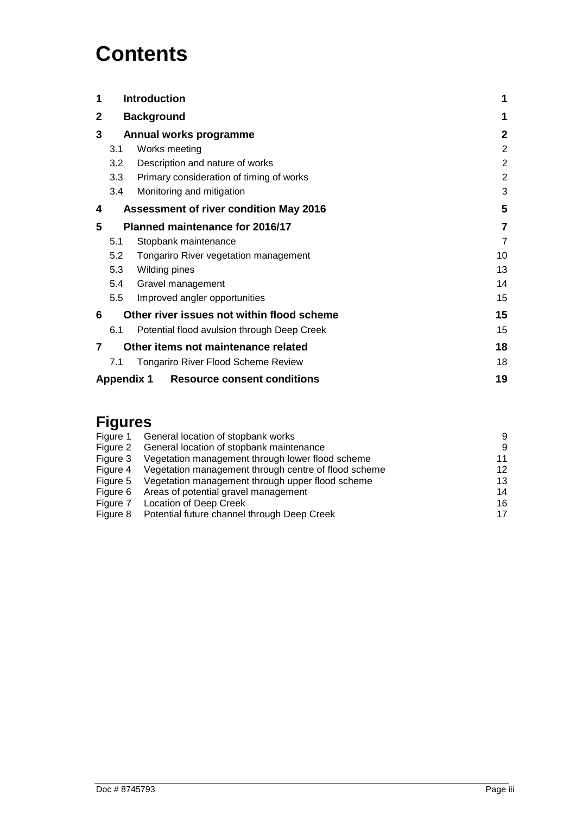# **Contents**

| 1 | <b>Introduction</b>                                |                                                         |                |  |  |
|---|----------------------------------------------------|---------------------------------------------------------|----------------|--|--|
| 2 | <b>Background</b>                                  |                                                         |                |  |  |
| 3 | Annual works programme                             |                                                         | $\mathbf{2}$   |  |  |
|   | 3.1                                                | Works meeting                                           | $\overline{2}$ |  |  |
|   | 3.2                                                | Description and nature of works                         | $\overline{2}$ |  |  |
|   | 3.3                                                | Primary consideration of timing of works                | $\overline{2}$ |  |  |
|   | 3.4                                                | Monitoring and mitigation                               | 3              |  |  |
| 4 | 5<br><b>Assessment of river condition May 2016</b> |                                                         |                |  |  |
| 5 | <b>Planned maintenance for 2016/17</b>             |                                                         | 7              |  |  |
|   | 5.1                                                | Stopbank maintenance                                    | $\overline{7}$ |  |  |
|   | 5.2                                                | Tongariro River vegetation management                   | 10             |  |  |
|   | 5.3                                                | Wilding pines                                           | 13             |  |  |
|   | 5.4                                                | Gravel management                                       | 14             |  |  |
|   | 5.5                                                | Improved angler opportunities                           | 15             |  |  |
| 6 | Other river issues not within flood scheme         |                                                         | 15             |  |  |
|   | 6.1                                                | Potential flood avulsion through Deep Creek             | 15             |  |  |
| 7 | Other items not maintenance related                |                                                         | 18             |  |  |
|   | 7.1                                                | <b>Tongariro River Flood Scheme Review</b>              | 18             |  |  |
|   |                                                    | <b>Appendix 1</b><br><b>Resource consent conditions</b> | 19             |  |  |

### **Figures**

| Figure 1 | General location of stopbank works                   | 9  |
|----------|------------------------------------------------------|----|
| Figure 2 | General location of stopbank maintenance             | -9 |
| Figure 3 | Vegetation management through lower flood scheme     | 11 |
| Figure 4 | Vegetation management through centre of flood scheme | 12 |
| Figure 5 | Vegetation management through upper flood scheme     | 13 |
| Figure 6 | Areas of potential gravel management                 | 14 |
| Figure 7 | Location of Deep Creek                               | 16 |
| Figure 8 | Potential future channel through Deep Creek          | 17 |
|          |                                                      |    |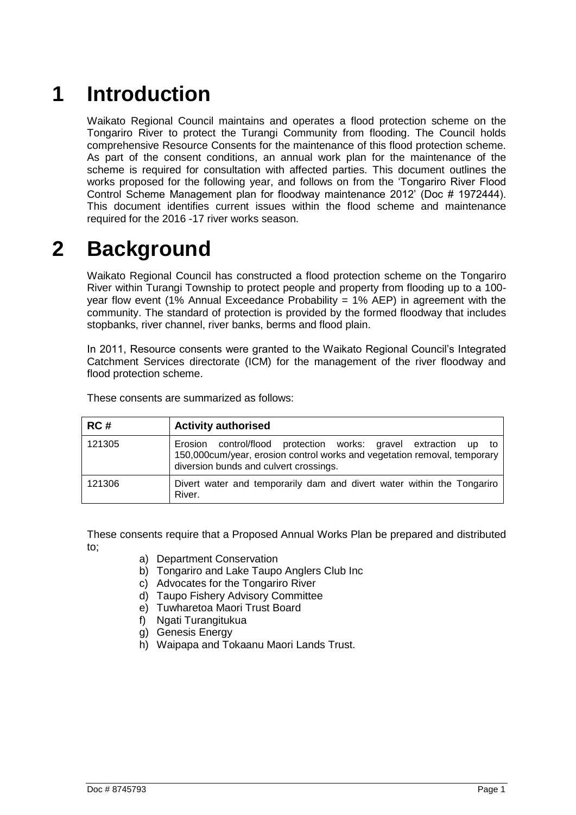# <span id="page-4-0"></span>**1 Introduction**

Waikato Regional Council maintains and operates a flood protection scheme on the Tongariro River to protect the Turangi Community from flooding. The Council holds comprehensive Resource Consents for the maintenance of this flood protection scheme. As part of the consent conditions, an annual work plan for the maintenance of the scheme is required for consultation with affected parties. This document outlines the works proposed for the following year, and follows on from the 'Tongariro River Flood Control Scheme Management plan for floodway maintenance 2012' (Doc # 1972444). This document identifies current issues within the flood scheme and maintenance required for the 2016 -17 river works season.

# <span id="page-4-1"></span>**2 Background**

Waikato Regional Council has constructed a flood protection scheme on the Tongariro River within Turangi Township to protect people and property from flooding up to a 100 year flow event (1% Annual Exceedance Probability = 1% AEP) in agreement with the community. The standard of protection is provided by the formed floodway that includes stopbanks, river channel, river banks, berms and flood plain.

In 2011, Resource consents were granted to the Waikato Regional Council's Integrated Catchment Services directorate (ICM) for the management of the river floodway and flood protection scheme.

| RC#    | <b>Activity authorised</b>                                                                                                                                                            |
|--------|---------------------------------------------------------------------------------------------------------------------------------------------------------------------------------------|
| 121305 | Erosion control/flood protection works: gravel extraction up to<br>150,000cum/year, erosion control works and vegetation removal, temporary<br>diversion bunds and culvert crossings. |
| 121306 | Divert water and temporarily dam and divert water within the Tongariro<br>River.                                                                                                      |

These consents are summarized as follows:

These consents require that a Proposed Annual Works Plan be prepared and distributed to;

- a) Department Conservation
- b) Tongariro and Lake Taupo Anglers Club Inc
- c) Advocates for the Tongariro River
- d) Taupo Fishery Advisory Committee
- e) Tuwharetoa Maori Trust Board
- f) Ngati Turangitukua
- g) Genesis Energy
- h) Waipapa and Tokaanu Maori Lands Trust.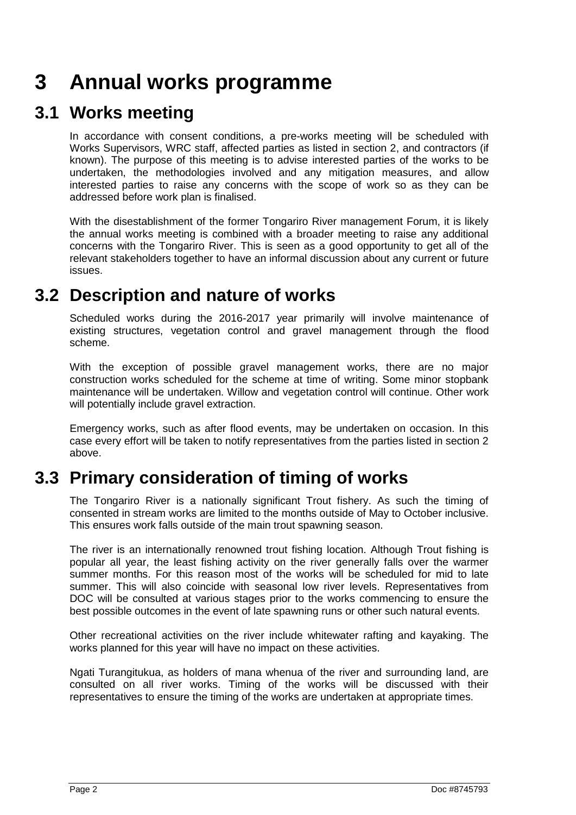## <span id="page-5-0"></span>**3 Annual works programme**

### **3.1 Works meeting**

<span id="page-5-1"></span>In accordance with consent conditions, a pre-works meeting will be scheduled with Works Supervisors, WRC staff, affected parties as listed in section 2, and contractors (if known). The purpose of this meeting is to advise interested parties of the works to be undertaken, the methodologies involved and any mitigation measures, and allow interested parties to raise any concerns with the scope of work so as they can be addressed before work plan is finalised.

With the disestablishment of the former Tongariro River management Forum, it is likely the annual works meeting is combined with a broader meeting to raise any additional concerns with the Tongariro River. This is seen as a good opportunity to get all of the relevant stakeholders together to have an informal discussion about any current or future issues.

### <span id="page-5-2"></span>**3.2 Description and nature of works**

Scheduled works during the 2016-2017 year primarily will involve maintenance of existing structures, vegetation control and gravel management through the flood scheme.

With the exception of possible gravel management works, there are no major construction works scheduled for the scheme at time of writing. Some minor stopbank maintenance will be undertaken. Willow and vegetation control will continue. Other work will potentially include gravel extraction.

Emergency works, such as after flood events, may be undertaken on occasion. In this case every effort will be taken to notify representatives from the parties listed in section 2 above.

## <span id="page-5-3"></span>**3.3 Primary consideration of timing of works**

The Tongariro River is a nationally significant Trout fishery. As such the timing of consented in stream works are limited to the months outside of May to October inclusive. This ensures work falls outside of the main trout spawning season.

The river is an internationally renowned trout fishing location. Although Trout fishing is popular all year, the least fishing activity on the river generally falls over the warmer summer months. For this reason most of the works will be scheduled for mid to late summer. This will also coincide with seasonal low river levels. Representatives from DOC will be consulted at various stages prior to the works commencing to ensure the best possible outcomes in the event of late spawning runs or other such natural events.

Other recreational activities on the river include whitewater rafting and kayaking. The works planned for this year will have no impact on these activities.

Ngati Turangitukua, as holders of mana whenua of the river and surrounding land, are consulted on all river works. Timing of the works will be discussed with their representatives to ensure the timing of the works are undertaken at appropriate times.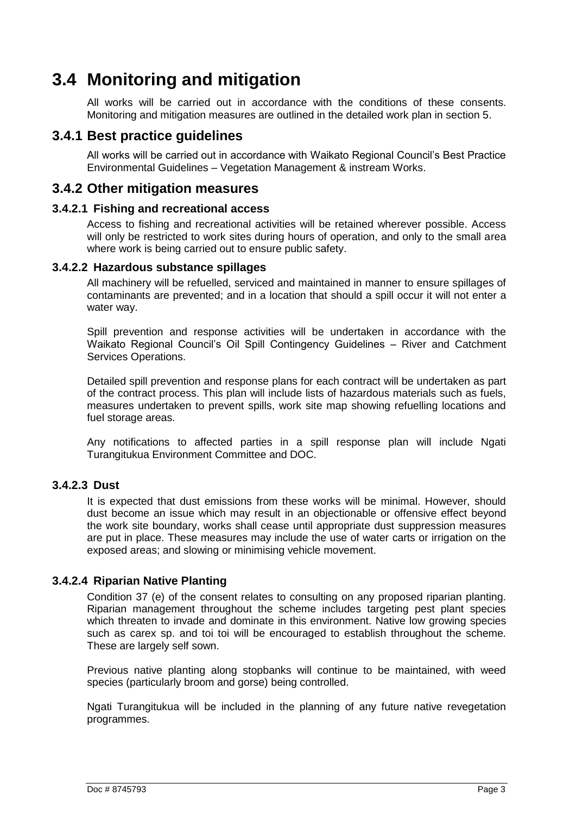## **3.4 Monitoring and mitigation**

<span id="page-6-0"></span>All works will be carried out in accordance with the conditions of these consents. Monitoring and mitigation measures are outlined in the detailed work plan in section 5.

### **3.4.1 Best practice guidelines**

All works will be carried out in accordance with Waikato Regional Council's Best Practice Environmental Guidelines – Vegetation Management & instream Works.

### **3.4.2 Other mitigation measures**

### **3.4.2.1 Fishing and recreational access**

Access to fishing and recreational activities will be retained wherever possible. Access will only be restricted to work sites during hours of operation, and only to the small area where work is being carried out to ensure public safety.

### **3.4.2.2 Hazardous substance spillages**

All machinery will be refuelled, serviced and maintained in manner to ensure spillages of contaminants are prevented; and in a location that should a spill occur it will not enter a water way.

Spill prevention and response activities will be undertaken in accordance with the Waikato Regional Council's Oil Spill Contingency Guidelines – River and Catchment Services Operations.

Detailed spill prevention and response plans for each contract will be undertaken as part of the contract process. This plan will include lists of hazardous materials such as fuels, measures undertaken to prevent spills, work site map showing refuelling locations and fuel storage areas.

Any notifications to affected parties in a spill response plan will include Ngati Turangitukua Environment Committee and DOC.

### **3.4.2.3 Dust**

It is expected that dust emissions from these works will be minimal. However, should dust become an issue which may result in an objectionable or offensive effect beyond the work site boundary, works shall cease until appropriate dust suppression measures are put in place. These measures may include the use of water carts or irrigation on the exposed areas; and slowing or minimising vehicle movement.

### **3.4.2.4 Riparian Native Planting**

Condition 37 (e) of the consent relates to consulting on any proposed riparian planting. Riparian management throughout the scheme includes targeting pest plant species which threaten to invade and dominate in this environment. Native low growing species such as carex sp. and toi toi will be encouraged to establish throughout the scheme. These are largely self sown.

Previous native planting along stopbanks will continue to be maintained, with weed species (particularly broom and gorse) being controlled.

Ngati Turangitukua will be included in the planning of any future native revegetation programmes.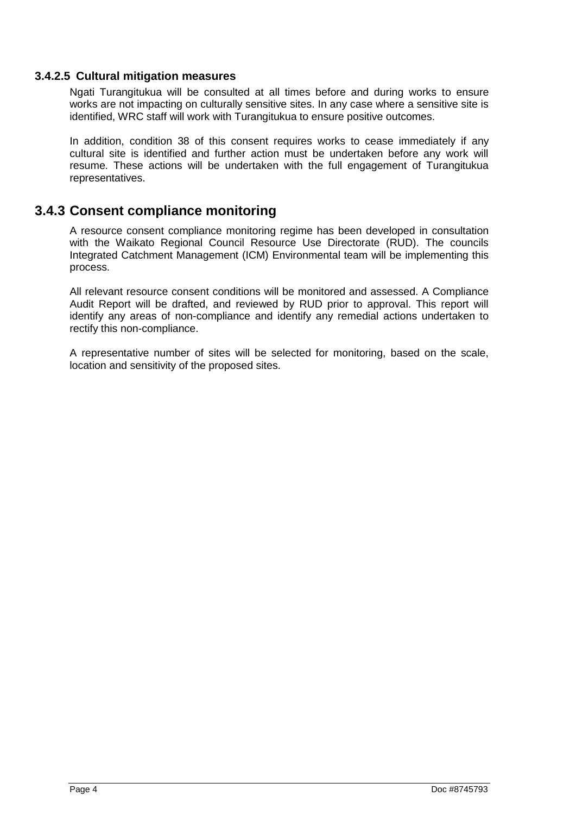### **3.4.2.5 Cultural mitigation measures**

Ngati Turangitukua will be consulted at all times before and during works to ensure works are not impacting on culturally sensitive sites. In any case where a sensitive site is identified, WRC staff will work with Turangitukua to ensure positive outcomes.

In addition, condition 38 of this consent requires works to cease immediately if any cultural site is identified and further action must be undertaken before any work will resume. These actions will be undertaken with the full engagement of Turangitukua representatives.

### **3.4.3 Consent compliance monitoring**

A resource consent compliance monitoring regime has been developed in consultation with the Waikato Regional Council Resource Use Directorate (RUD). The councils Integrated Catchment Management (ICM) Environmental team will be implementing this process.

All relevant resource consent conditions will be monitored and assessed. A Compliance Audit Report will be drafted, and reviewed by RUD prior to approval. This report will identify any areas of non-compliance and identify any remedial actions undertaken to rectify this non-compliance.

A representative number of sites will be selected for monitoring, based on the scale, location and sensitivity of the proposed sites.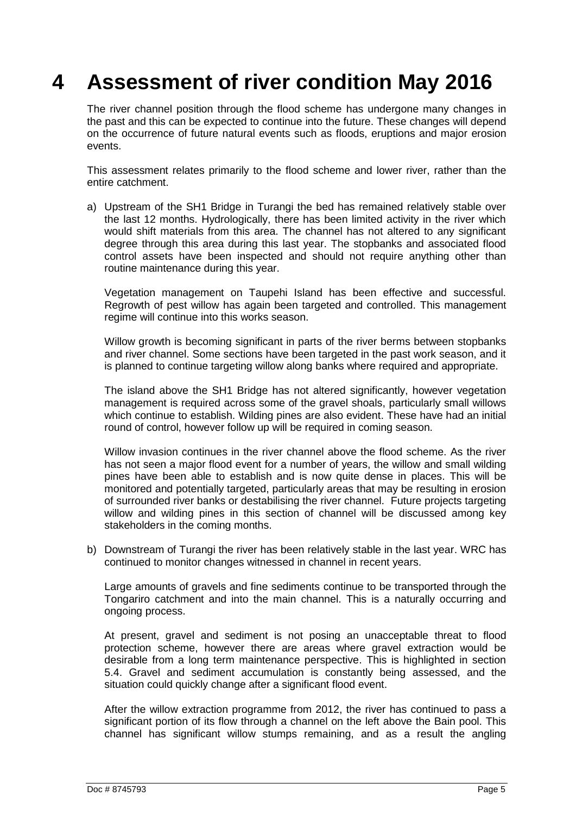## <span id="page-8-0"></span>**4 Assessment of river condition May 2016**

The river channel position through the flood scheme has undergone many changes in the past and this can be expected to continue into the future. These changes will depend on the occurrence of future natural events such as floods, eruptions and major erosion events.

This assessment relates primarily to the flood scheme and lower river, rather than the entire catchment.

a) Upstream of the SH1 Bridge in Turangi the bed has remained relatively stable over the last 12 months. Hydrologically, there has been limited activity in the river which would shift materials from this area. The channel has not altered to any significant degree through this area during this last year. The stopbanks and associated flood control assets have been inspected and should not require anything other than routine maintenance during this year.

Vegetation management on Taupehi Island has been effective and successful. Regrowth of pest willow has again been targeted and controlled. This management regime will continue into this works season.

Willow growth is becoming significant in parts of the river berms between stopbanks and river channel. Some sections have been targeted in the past work season, and it is planned to continue targeting willow along banks where required and appropriate.

The island above the SH1 Bridge has not altered significantly, however vegetation management is required across some of the gravel shoals, particularly small willows which continue to establish. Wilding pines are also evident. These have had an initial round of control, however follow up will be required in coming season.

Willow invasion continues in the river channel above the flood scheme. As the river has not seen a major flood event for a number of years, the willow and small wilding pines have been able to establish and is now quite dense in places. This will be monitored and potentially targeted, particularly areas that may be resulting in erosion of surrounded river banks or destabilising the river channel. Future projects targeting willow and wilding pines in this section of channel will be discussed among key stakeholders in the coming months.

b) Downstream of Turangi the river has been relatively stable in the last year. WRC has continued to monitor changes witnessed in channel in recent years.

Large amounts of gravels and fine sediments continue to be transported through the Tongariro catchment and into the main channel. This is a naturally occurring and ongoing process.

At present, gravel and sediment is not posing an unacceptable threat to flood protection scheme, however there are areas where gravel extraction would be desirable from a long term maintenance perspective. This is highlighted in section 5.4. Gravel and sediment accumulation is constantly being assessed, and the situation could quickly change after a significant flood event.

After the willow extraction programme from 2012, the river has continued to pass a significant portion of its flow through a channel on the left above the Bain pool. This channel has significant willow stumps remaining, and as a result the angling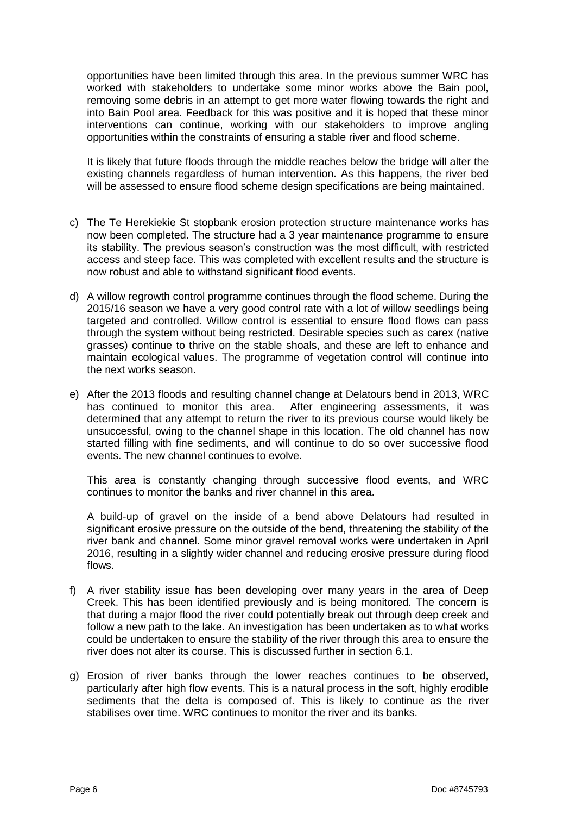opportunities have been limited through this area. In the previous summer WRC has worked with stakeholders to undertake some minor works above the Bain pool, removing some debris in an attempt to get more water flowing towards the right and into Bain Pool area. Feedback for this was positive and it is hoped that these minor interventions can continue, working with our stakeholders to improve angling opportunities within the constraints of ensuring a stable river and flood scheme.

It is likely that future floods through the middle reaches below the bridge will alter the existing channels regardless of human intervention. As this happens, the river bed will be assessed to ensure flood scheme design specifications are being maintained.

- c) The Te Herekiekie St stopbank erosion protection structure maintenance works has now been completed. The structure had a 3 year maintenance programme to ensure its stability. The previous season's construction was the most difficult, with restricted access and steep face. This was completed with excellent results and the structure is now robust and able to withstand significant flood events.
- d) A willow regrowth control programme continues through the flood scheme. During the 2015/16 season we have a very good control rate with a lot of willow seedlings being targeted and controlled. Willow control is essential to ensure flood flows can pass through the system without being restricted. Desirable species such as carex (native grasses) continue to thrive on the stable shoals, and these are left to enhance and maintain ecological values. The programme of vegetation control will continue into the next works season.
- e) After the 2013 floods and resulting channel change at Delatours bend in 2013, WRC has continued to monitor this area. After engineering assessments, it was determined that any attempt to return the river to its previous course would likely be unsuccessful, owing to the channel shape in this location. The old channel has now started filling with fine sediments, and will continue to do so over successive flood events. The new channel continues to evolve.

This area is constantly changing through successive flood events, and WRC continues to monitor the banks and river channel in this area.

A build-up of gravel on the inside of a bend above Delatours had resulted in significant erosive pressure on the outside of the bend, threatening the stability of the river bank and channel. Some minor gravel removal works were undertaken in April 2016, resulting in a slightly wider channel and reducing erosive pressure during flood flows.

- f) A river stability issue has been developing over many years in the area of Deep Creek. This has been identified previously and is being monitored. The concern is that during a major flood the river could potentially break out through deep creek and follow a new path to the lake. An investigation has been undertaken as to what works could be undertaken to ensure the stability of the river through this area to ensure the river does not alter its course. This is discussed further in section 6.1.
- g) Erosion of river banks through the lower reaches continues to be observed, particularly after high flow events. This is a natural process in the soft, highly erodible sediments that the delta is composed of. This is likely to continue as the river stabilises over time. WRC continues to monitor the river and its banks.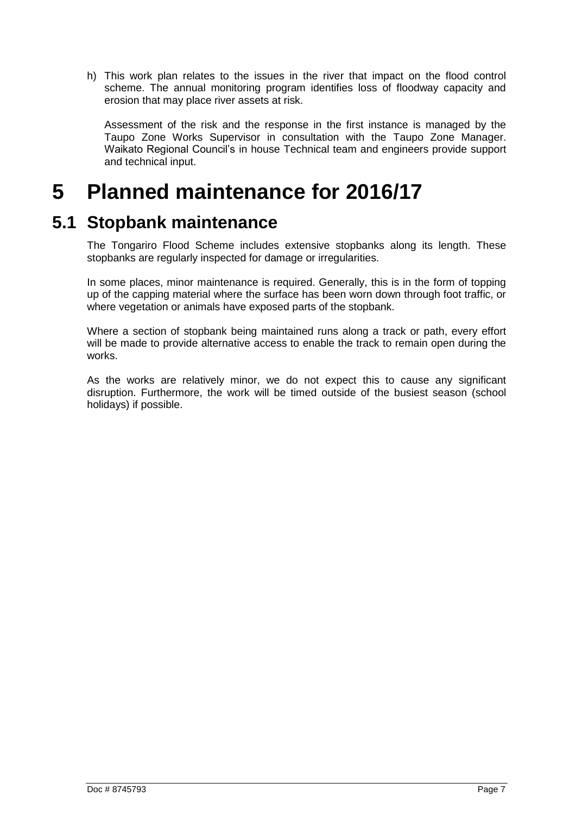h) This work plan relates to the issues in the river that impact on the flood control scheme. The annual monitoring program identifies loss of floodway capacity and erosion that may place river assets at risk.

Assessment of the risk and the response in the first instance is managed by the Taupo Zone Works Supervisor in consultation with the Taupo Zone Manager. Waikato Regional Council's in house Technical team and engineers provide support and technical input.

## <span id="page-10-0"></span>**5 Planned maintenance for 2016/17**

### **5.1 Stopbank maintenance**

<span id="page-10-1"></span>The Tongariro Flood Scheme includes extensive stopbanks along its length. These stopbanks are regularly inspected for damage or irregularities.

In some places, minor maintenance is required. Generally, this is in the form of topping up of the capping material where the surface has been worn down through foot traffic, or where vegetation or animals have exposed parts of the stopbank.

Where a section of stopbank being maintained runs along a track or path, every effort will be made to provide alternative access to enable the track to remain open during the works.

As the works are relatively minor, we do not expect this to cause any significant disruption. Furthermore, the work will be timed outside of the busiest season (school holidays) if possible.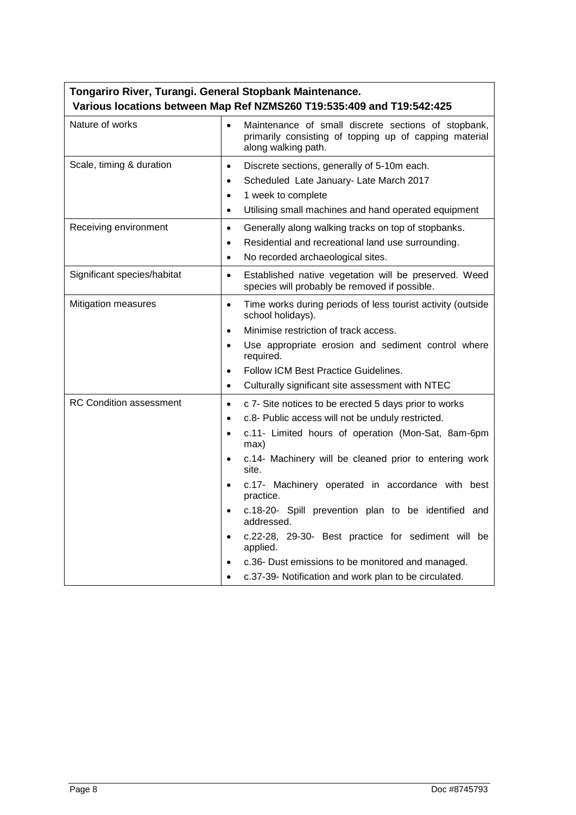| Tongariro River, Turangi. General Stopbank Maintenance. |                                                                                                                                                                                                                                                                                                                                                                                                                                                                                                                                                                                                                                                              |  |  |  |  |
|---------------------------------------------------------|--------------------------------------------------------------------------------------------------------------------------------------------------------------------------------------------------------------------------------------------------------------------------------------------------------------------------------------------------------------------------------------------------------------------------------------------------------------------------------------------------------------------------------------------------------------------------------------------------------------------------------------------------------------|--|--|--|--|
|                                                         | Various locations between Map Ref NZMS260 T19:535:409 and T19:542:425                                                                                                                                                                                                                                                                                                                                                                                                                                                                                                                                                                                        |  |  |  |  |
| Nature of works                                         | Maintenance of small discrete sections of stopbank,<br>$\bullet$<br>primarily consisting of topping up of capping material<br>along walking path.                                                                                                                                                                                                                                                                                                                                                                                                                                                                                                            |  |  |  |  |
| Scale, timing & duration                                | Discrete sections, generally of 5-10m each.<br>$\bullet$<br>Scheduled Late January- Late March 2017<br>$\bullet$<br>1 week to complete<br>$\bullet$<br>Utilising small machines and hand operated equipment<br>$\bullet$                                                                                                                                                                                                                                                                                                                                                                                                                                     |  |  |  |  |
| Receiving environment                                   | Generally along walking tracks on top of stopbanks.<br>$\bullet$<br>Residential and recreational land use surrounding.<br>$\bullet$<br>No recorded archaeological sites.<br>$\bullet$                                                                                                                                                                                                                                                                                                                                                                                                                                                                        |  |  |  |  |
| Significant species/habitat                             | Established native vegetation will be preserved. Weed<br>$\bullet$<br>species will probably be removed if possible.                                                                                                                                                                                                                                                                                                                                                                                                                                                                                                                                          |  |  |  |  |
| <b>Mitigation measures</b>                              | Time works during periods of less tourist activity (outside<br>$\bullet$<br>school holidays).<br>Minimise restriction of track access.<br>$\bullet$<br>Use appropriate erosion and sediment control where<br>$\bullet$<br>required.<br>Follow ICM Best Practice Guidelines.<br>$\bullet$<br>Culturally significant site assessment with NTEC<br>$\bullet$                                                                                                                                                                                                                                                                                                    |  |  |  |  |
| <b>RC Condition assessment</b>                          | c 7- Site notices to be erected 5 days prior to works<br>$\bullet$<br>c.8- Public access will not be unduly restricted.<br>$\bullet$<br>c.11- Limited hours of operation (Mon-Sat, 8am-6pm<br>$\bullet$<br>max)<br>c.14- Machinery will be cleaned prior to entering work<br>$\bullet$<br>site.<br>c.17- Machinery operated in accordance with best<br>$\bullet$<br>practice.<br>c.18-20- Spill prevention plan to be identified and<br>$\bullet$<br>addressed.<br>c.22-28, 29-30- Best practice for sediment will be<br>$\bullet$<br>applied.<br>c.36- Dust emissions to be monitored and managed.<br>c.37-39- Notification and work plan to be circulated. |  |  |  |  |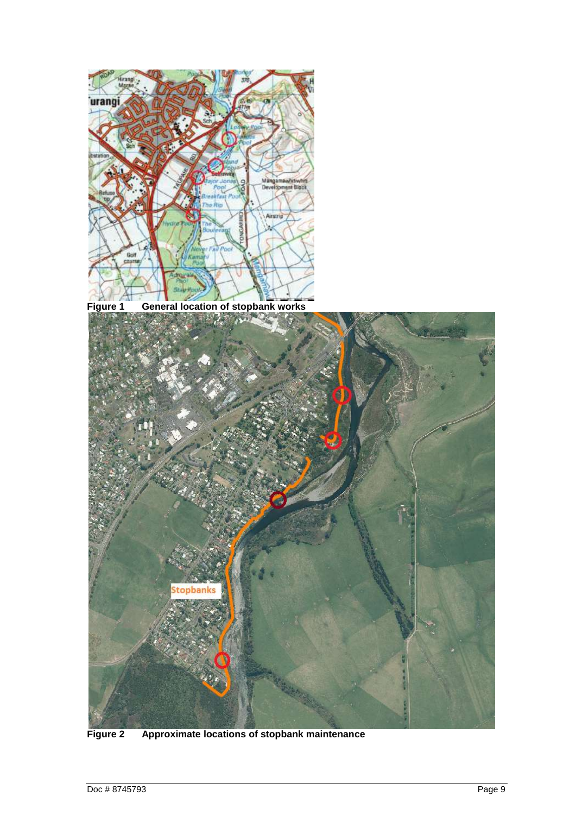

**Figure 1 General location of stopbank works**

<span id="page-12-1"></span><span id="page-12-0"></span>

**Figure 2 Approximate locations of stopbank maintenance**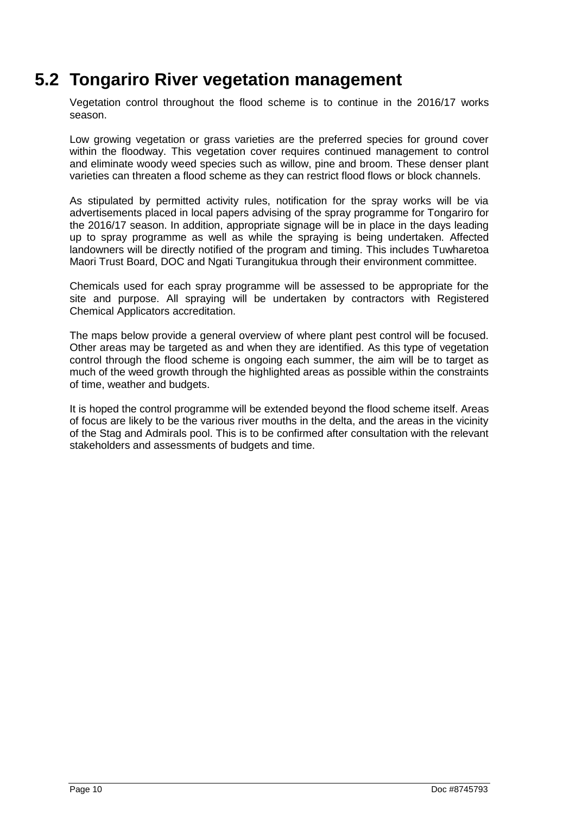## **5.2 Tongariro River vegetation management**

<span id="page-13-0"></span>Vegetation control throughout the flood scheme is to continue in the 2016/17 works season.

Low growing vegetation or grass varieties are the preferred species for ground cover within the floodway. This vegetation cover requires continued management to control and eliminate woody weed species such as willow, pine and broom. These denser plant varieties can threaten a flood scheme as they can restrict flood flows or block channels.

As stipulated by permitted activity rules, notification for the spray works will be via advertisements placed in local papers advising of the spray programme for Tongariro for the 2016/17 season. In addition, appropriate signage will be in place in the days leading up to spray programme as well as while the spraying is being undertaken. Affected landowners will be directly notified of the program and timing. This includes Tuwharetoa Maori Trust Board, DOC and Ngati Turangitukua through their environment committee.

Chemicals used for each spray programme will be assessed to be appropriate for the site and purpose. All spraying will be undertaken by contractors with Registered Chemical Applicators accreditation.

The maps below provide a general overview of where plant pest control will be focused. Other areas may be targeted as and when they are identified. As this type of vegetation control through the flood scheme is ongoing each summer, the aim will be to target as much of the weed growth through the highlighted areas as possible within the constraints of time, weather and budgets.

It is hoped the control programme will be extended beyond the flood scheme itself. Areas of focus are likely to be the various river mouths in the delta, and the areas in the vicinity of the Stag and Admirals pool. This is to be confirmed after consultation with the relevant stakeholders and assessments of budgets and time.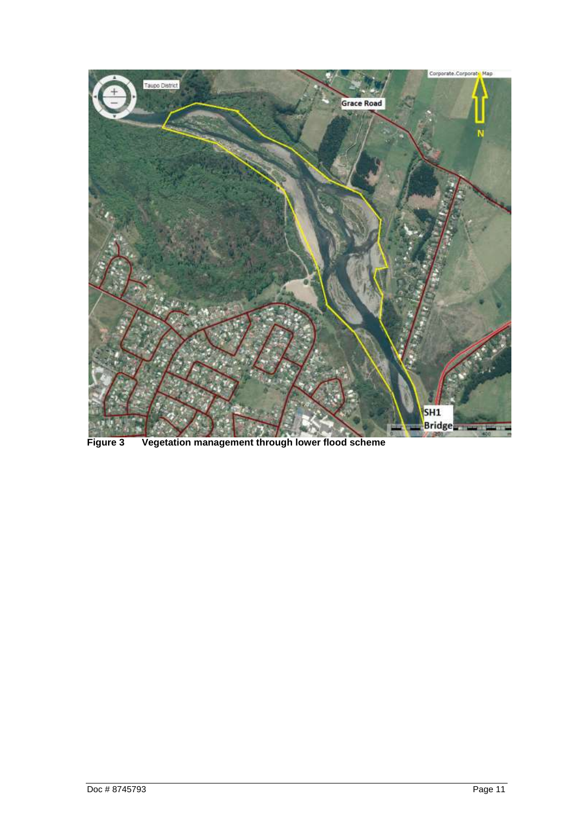<span id="page-14-0"></span>

**Figure 3 Vegetation management through lower flood scheme**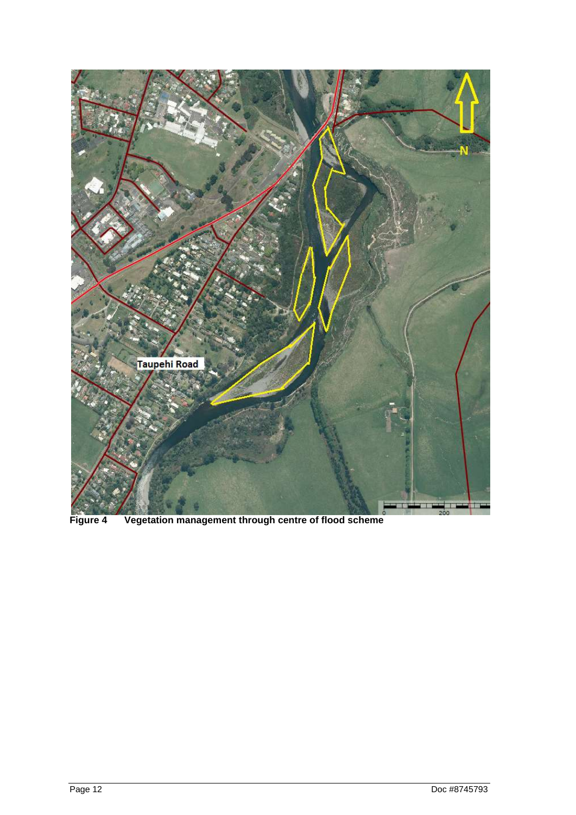<span id="page-15-0"></span>

**Figure 4 Vegetation management through centre of flood scheme**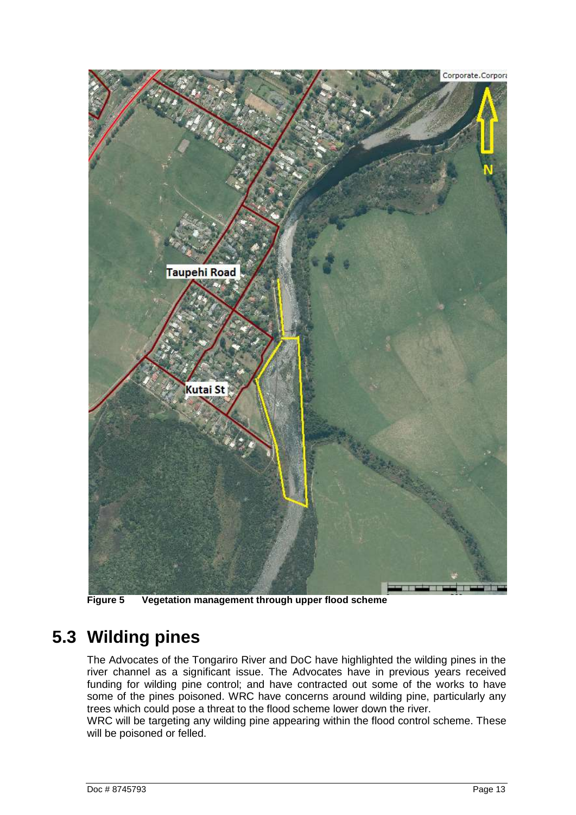

**Figure 5 Vegetation management through upper flood scheme**

### <span id="page-16-1"></span><span id="page-16-0"></span>**5.3 Wilding pines**

The Advocates of the Tongariro River and DoC have highlighted the wilding pines in the river channel as a significant issue. The Advocates have in previous years received funding for wilding pine control; and have contracted out some of the works to have some of the pines poisoned. WRC have concerns around wilding pine, particularly any trees which could pose a threat to the flood scheme lower down the river.

WRC will be targeting any wilding pine appearing within the flood control scheme. These will be poisoned or felled.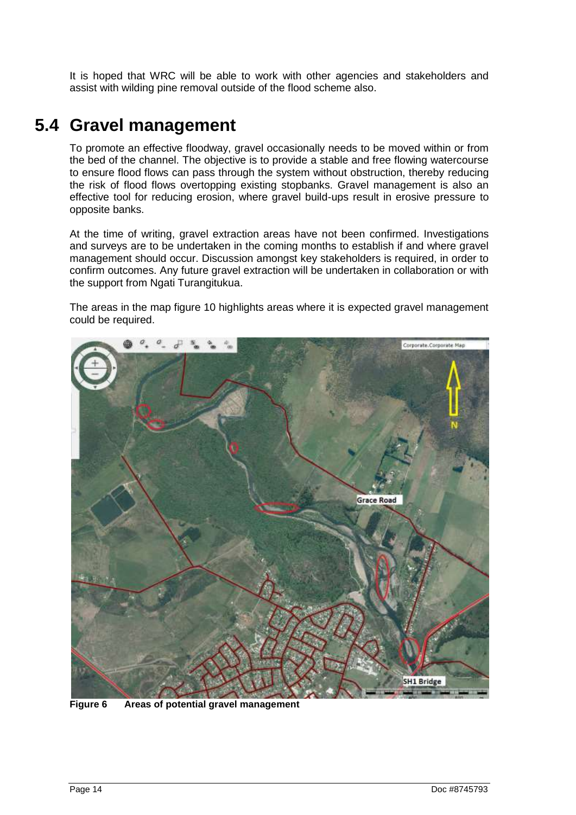It is hoped that WRC will be able to work with other agencies and stakeholders and assist with wilding pine removal outside of the flood scheme also.

### <span id="page-17-0"></span>**5.4 Gravel management**

To promote an effective floodway, gravel occasionally needs to be moved within or from the bed of the channel. The objective is to provide a stable and free flowing watercourse to ensure flood flows can pass through the system without obstruction, thereby reducing the risk of flood flows overtopping existing stopbanks. Gravel management is also an effective tool for reducing erosion, where gravel build-ups result in erosive pressure to opposite banks.

At the time of writing, gravel extraction areas have not been confirmed. Investigations and surveys are to be undertaken in the coming months to establish if and where gravel management should occur. Discussion amongst key stakeholders is required, in order to confirm outcomes. Any future gravel extraction will be undertaken in collaboration or with the support from Ngati Turangitukua.

The areas in the map figure 10 highlights areas where it is expected gravel management could be required.

<span id="page-17-1"></span>

**Figure 6 Areas of potential gravel management**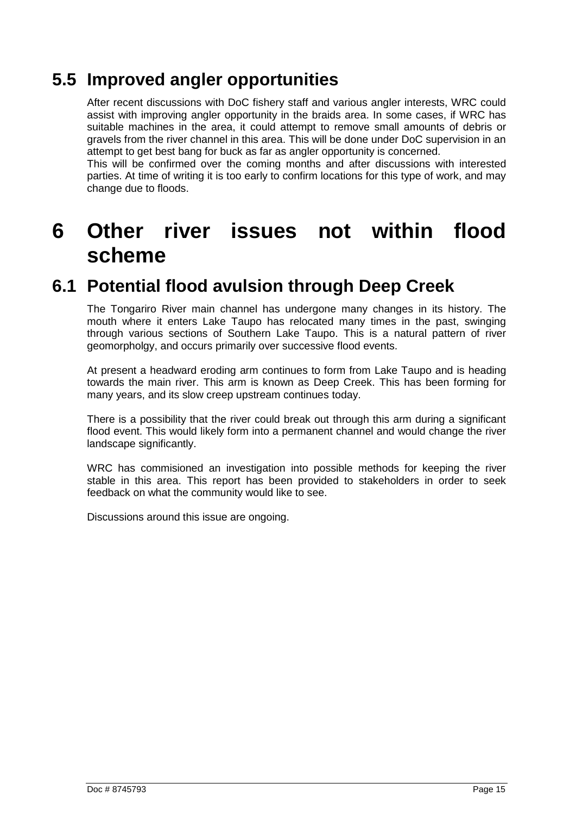## **5.5 Improved angler opportunities**

<span id="page-18-0"></span>After recent discussions with DoC fishery staff and various angler interests, WRC could assist with improving angler opportunity in the braids area. In some cases, if WRC has suitable machines in the area, it could attempt to remove small amounts of debris or gravels from the river channel in this area. This will be done under DoC supervision in an attempt to get best bang for buck as far as angler opportunity is concerned.

This will be confirmed over the coming months and after discussions with interested parties. At time of writing it is too early to confirm locations for this type of work, and may change due to floods.

## <span id="page-18-1"></span>**6 Other river issues not within flood scheme**

## **6.1 Potential flood avulsion through Deep Creek**

<span id="page-18-2"></span>The Tongariro River main channel has undergone many changes in its history. The mouth where it enters Lake Taupo has relocated many times in the past, swinging through various sections of Southern Lake Taupo. This is a natural pattern of river geomorpholgy, and occurs primarily over successive flood events.

At present a headward eroding arm continues to form from Lake Taupo and is heading towards the main river. This arm is known as Deep Creek. This has been forming for many years, and its slow creep upstream continues today.

There is a possibility that the river could break out through this arm during a significant flood event. This would likely form into a permanent channel and would change the river landscape significantly.

WRC has commisioned an investigation into possible methods for keeping the river stable in this area. This report has been provided to stakeholders in order to seek feedback on what the community would like to see.

Discussions around this issue are ongoing.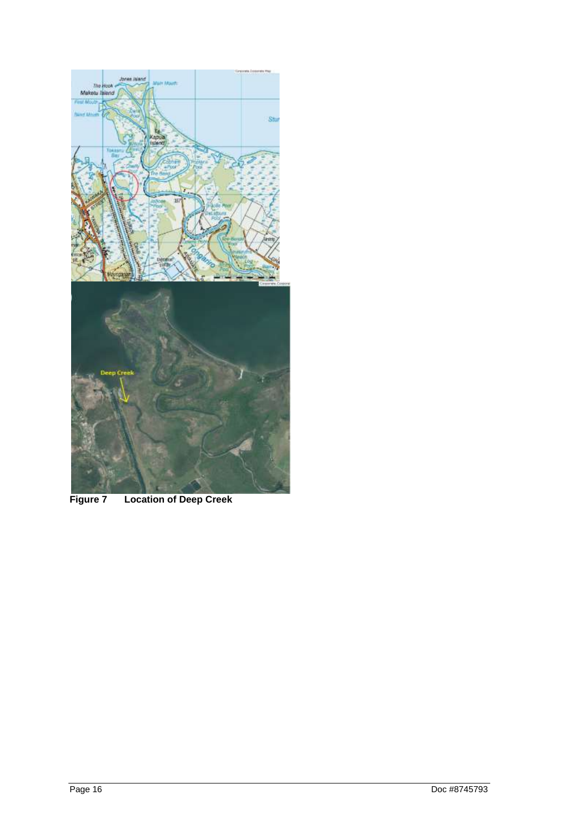<span id="page-19-0"></span>

**Figure 7 Location of Deep Creek**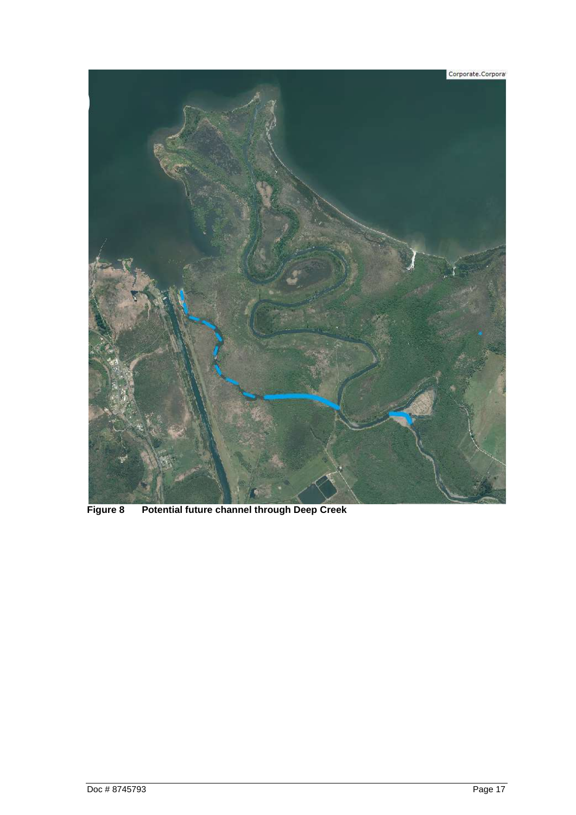<span id="page-20-0"></span>

**Figure 8 Potential future channel through Deep Creek**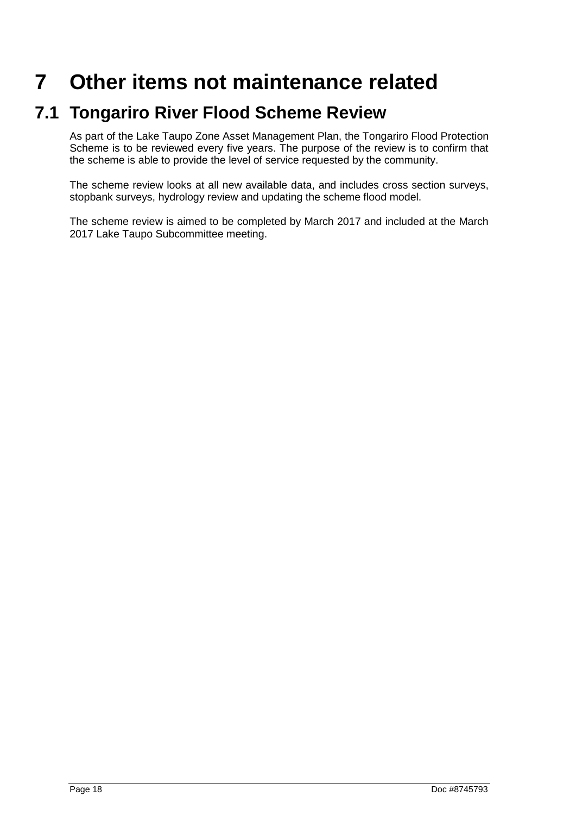# <span id="page-21-0"></span>**7 Other items not maintenance related**

### **7.1 Tongariro River Flood Scheme Review**

<span id="page-21-1"></span>As part of the Lake Taupo Zone Asset Management Plan, the Tongariro Flood Protection Scheme is to be reviewed every five years. The purpose of the review is to confirm that the scheme is able to provide the level of service requested by the community.

The scheme review looks at all new available data, and includes cross section surveys, stopbank surveys, hydrology review and updating the scheme flood model.

The scheme review is aimed to be completed by March 2017 and included at the March 2017 Lake Taupo Subcommittee meeting.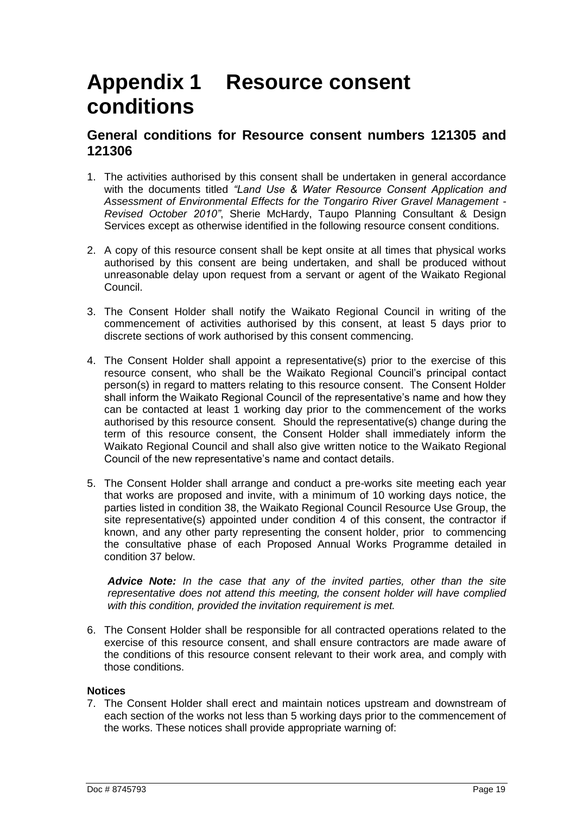## <span id="page-22-0"></span>**Appendix 1 Resource consent conditions**

### **General conditions for Resource consent numbers 121305 and 121306**

- 1. The activities authorised by this consent shall be undertaken in general accordance with the documents titled *"Land Use & Water Resource Consent Application and Assessment of Environmental Effects for the Tongariro River Gravel Management - Revised October 2010"*, Sherie McHardy, Taupo Planning Consultant & Design Services except as otherwise identified in the following resource consent conditions.
- 2. A copy of this resource consent shall be kept onsite at all times that physical works authorised by this consent are being undertaken, and shall be produced without unreasonable delay upon request from a servant or agent of the Waikato Regional Council.
- 3. The Consent Holder shall notify the Waikato Regional Council in writing of the commencement of activities authorised by this consent, at least 5 days prior to discrete sections of work authorised by this consent commencing.
- 4. The Consent Holder shall appoint a representative(s) prior to the exercise of this resource consent, who shall be the Waikato Regional Council's principal contact person(s) in regard to matters relating to this resource consent. The Consent Holder shall inform the Waikato Regional Council of the representative's name and how they can be contacted at least 1 working day prior to the commencement of the works authorised by this resource consent*.* Should the representative(s) change during the term of this resource consent, the Consent Holder shall immediately inform the Waikato Regional Council and shall also give written notice to the Waikato Regional Council of the new representative's name and contact details.
- 5. The Consent Holder shall arrange and conduct a pre-works site meeting each year that works are proposed and invite, with a minimum of 10 working days notice, the parties listed in condition 38, the Waikato Regional Council Resource Use Group, the site representative(s) appointed under condition 4 of this consent, the contractor if known, and any other party representing the consent holder, prior to commencing the consultative phase of each Proposed Annual Works Programme detailed in condition 37 below.

*Advice Note: In the case that any of the invited parties, other than the site representative does not attend this meeting, the consent holder will have complied with this condition, provided the invitation requirement is met.* 

6. The Consent Holder shall be responsible for all contracted operations related to the exercise of this resource consent, and shall ensure contractors are made aware of the conditions of this resource consent relevant to their work area, and comply with those conditions.

### **Notices**

7. The Consent Holder shall erect and maintain notices upstream and downstream of each section of the works not less than 5 working days prior to the commencement of the works. These notices shall provide appropriate warning of: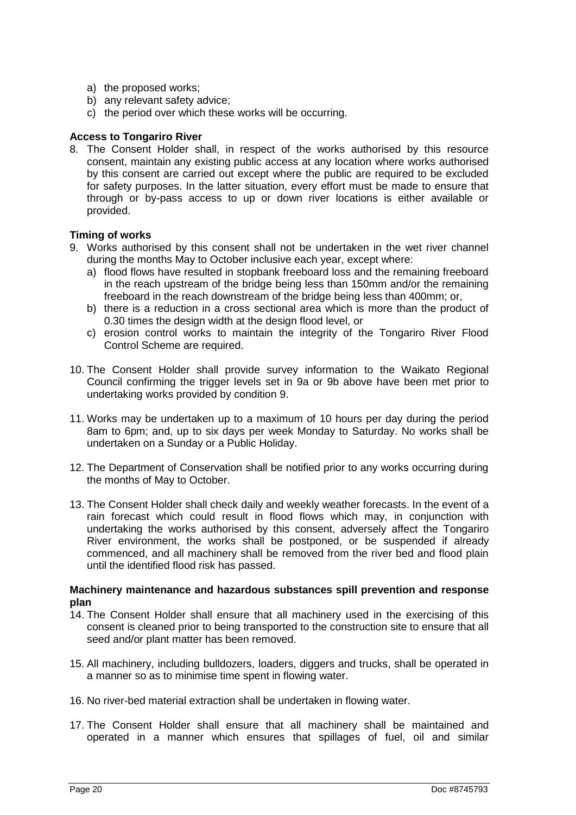- a) the proposed works;
- b) any relevant safety advice;
- c) the period over which these works will be occurring.

### **Access to Tongariro River**

8. The Consent Holder shall, in respect of the works authorised by this resource consent, maintain any existing public access at any location where works authorised by this consent are carried out except where the public are required to be excluded for safety purposes. In the latter situation, every effort must be made to ensure that through or by-pass access to up or down river locations is either available or provided.

### **Timing of works**

- 9. Works authorised by this consent shall not be undertaken in the wet river channel during the months May to October inclusive each year, except where:
	- a) flood flows have resulted in stopbank freeboard loss and the remaining freeboard in the reach upstream of the bridge being less than 150mm and/or the remaining freeboard in the reach downstream of the bridge being less than 400mm; or,
	- b) there is a reduction in a cross sectional area which is more than the product of 0.30 times the design width at the design flood level, or
	- c) erosion control works to maintain the integrity of the Tongariro River Flood Control Scheme are required.
- 10. The Consent Holder shall provide survey information to the Waikato Regional Council confirming the trigger levels set in 9a or 9b above have been met prior to undertaking works provided by condition 9.
- 11. Works may be undertaken up to a maximum of 10 hours per day during the period 8am to 6pm; and, up to six days per week Monday to Saturday. No works shall be undertaken on a Sunday or a Public Holiday.
- 12. The Department of Conservation shall be notified prior to any works occurring during the months of May to October.
- 13. The Consent Holder shall check daily and weekly weather forecasts. In the event of a rain forecast which could result in flood flows which may, in conjunction with undertaking the works authorised by this consent, adversely affect the Tongariro River environment, the works shall be postponed, or be suspended if already commenced, and all machinery shall be removed from the river bed and flood plain until the identified flood risk has passed.

#### **Machinery maintenance and hazardous substances spill prevention and response plan**

- 14. The Consent Holder shall ensure that all machinery used in the exercising of this consent is cleaned prior to being transported to the construction site to ensure that all seed and/or plant matter has been removed.
- 15. All machinery, including bulldozers, loaders, diggers and trucks, shall be operated in a manner so as to minimise time spent in flowing water.
- 16. No river-bed material extraction shall be undertaken in flowing water.
- 17. The Consent Holder shall ensure that all machinery shall be maintained and operated in a manner which ensures that spillages of fuel, oil and similar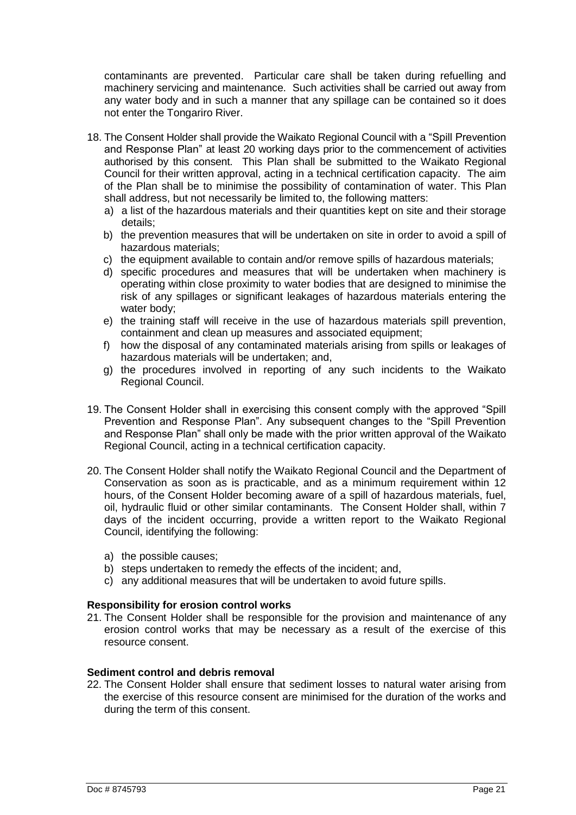contaminants are prevented. Particular care shall be taken during refuelling and machinery servicing and maintenance. Such activities shall be carried out away from any water body and in such a manner that any spillage can be contained so it does not enter the Tongariro River.

- 18. The Consent Holder shall provide the Waikato Regional Council with a "Spill Prevention and Response Plan" at least 20 working days prior to the commencement of activities authorised by this consent. This Plan shall be submitted to the Waikato Regional Council for their written approval, acting in a technical certification capacity. The aim of the Plan shall be to minimise the possibility of contamination of water. This Plan shall address, but not necessarily be limited to, the following matters:
	- a) a list of the hazardous materials and their quantities kept on site and their storage details;
	- b) the prevention measures that will be undertaken on site in order to avoid a spill of hazardous materials;
	- c) the equipment available to contain and/or remove spills of hazardous materials;
	- d) specific procedures and measures that will be undertaken when machinery is operating within close proximity to water bodies that are designed to minimise the risk of any spillages or significant leakages of hazardous materials entering the water body;
	- e) the training staff will receive in the use of hazardous materials spill prevention, containment and clean up measures and associated equipment;
	- f) how the disposal of any contaminated materials arising from spills or leakages of hazardous materials will be undertaken; and,
	- g) the procedures involved in reporting of any such incidents to the Waikato Regional Council.
- 19. The Consent Holder shall in exercising this consent comply with the approved "Spill Prevention and Response Plan". Any subsequent changes to the "Spill Prevention and Response Plan" shall only be made with the prior written approval of the Waikato Regional Council, acting in a technical certification capacity.
- 20. The Consent Holder shall notify the Waikato Regional Council and the Department of Conservation as soon as is practicable, and as a minimum requirement within 12 hours, of the Consent Holder becoming aware of a spill of hazardous materials, fuel, oil, hydraulic fluid or other similar contaminants. The Consent Holder shall, within 7 days of the incident occurring, provide a written report to the Waikato Regional Council, identifying the following:
	- a) the possible causes;
	- b) steps undertaken to remedy the effects of the incident; and,
	- c) any additional measures that will be undertaken to avoid future spills.

### **Responsibility for erosion control works**

21. The Consent Holder shall be responsible for the provision and maintenance of any erosion control works that may be necessary as a result of the exercise of this resource consent.

### **Sediment control and debris removal**

22. The Consent Holder shall ensure that sediment losses to natural water arising from the exercise of this resource consent are minimised for the duration of the works and during the term of this consent.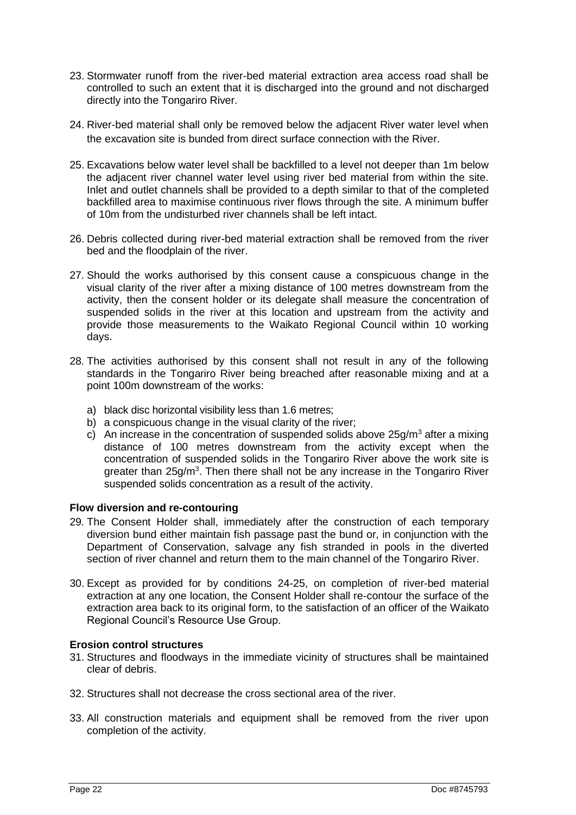- 23. Stormwater runoff from the river-bed material extraction area access road shall be controlled to such an extent that it is discharged into the ground and not discharged directly into the Tongariro River.
- 24. River-bed material shall only be removed below the adjacent River water level when the excavation site is bunded from direct surface connection with the River.
- 25. Excavations below water level shall be backfilled to a level not deeper than 1m below the adjacent river channel water level using river bed material from within the site. Inlet and outlet channels shall be provided to a depth similar to that of the completed backfilled area to maximise continuous river flows through the site. A minimum buffer of 10m from the undisturbed river channels shall be left intact.
- 26. Debris collected during river-bed material extraction shall be removed from the river bed and the floodplain of the river.
- 27. Should the works authorised by this consent cause a conspicuous change in the visual clarity of the river after a mixing distance of 100 metres downstream from the activity, then the consent holder or its delegate shall measure the concentration of suspended solids in the river at this location and upstream from the activity and provide those measurements to the Waikato Regional Council within 10 working days.
- 28. The activities authorised by this consent shall not result in any of the following standards in the Tongariro River being breached after reasonable mixing and at a point 100m downstream of the works:
	- a) black disc horizontal visibility less than 1.6 metres;
	- b) a conspicuous change in the visual clarity of the river;
	- c) An increase in the concentration of suspended solids above  $25q/m<sup>3</sup>$  after a mixing distance of 100 metres downstream from the activity except when the concentration of suspended solids in the Tongariro River above the work site is greater than 25g/m<sup>3</sup>. Then there shall not be any increase in the Tongariro River suspended solids concentration as a result of the activity.

#### **Flow diversion and re-contouring**

- 29. The Consent Holder shall, immediately after the construction of each temporary diversion bund either maintain fish passage past the bund or, in conjunction with the Department of Conservation, salvage any fish stranded in pools in the diverted section of river channel and return them to the main channel of the Tongariro River.
- 30. Except as provided for by conditions 24-25, on completion of river-bed material extraction at any one location, the Consent Holder shall re-contour the surface of the extraction area back to its original form, to the satisfaction of an officer of the Waikato Regional Council's Resource Use Group.

### **Erosion control structures**

- 31. Structures and floodways in the immediate vicinity of structures shall be maintained clear of debris.
- 32. Structures shall not decrease the cross sectional area of the river.
- 33. All construction materials and equipment shall be removed from the river upon completion of the activity.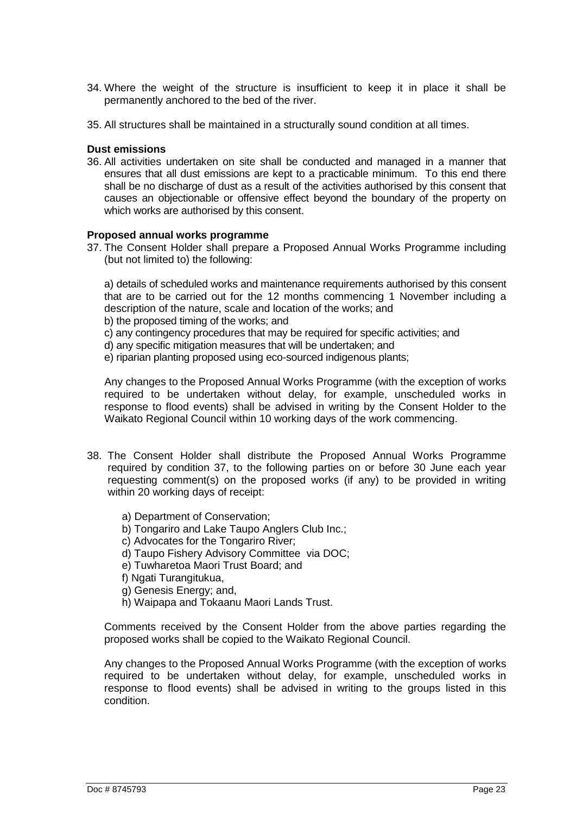- 34. Where the weight of the structure is insufficient to keep it in place it shall be permanently anchored to the bed of the river.
- 35. All structures shall be maintained in a structurally sound condition at all times.

#### **Dust emissions**

36. All activities undertaken on site shall be conducted and managed in a manner that ensures that all dust emissions are kept to a practicable minimum. To this end there shall be no discharge of dust as a result of the activities authorised by this consent that causes an objectionable or offensive effect beyond the boundary of the property on which works are authorised by this consent.

#### **Proposed annual works programme**

37. The Consent Holder shall prepare a Proposed Annual Works Programme including (but not limited to) the following:

a) details of scheduled works and maintenance requirements authorised by this consent that are to be carried out for the 12 months commencing 1 November including a description of the nature, scale and location of the works; and

b) the proposed timing of the works; and

- c) any contingency procedures that may be required for specific activities; and
- d) any specific mitigation measures that will be undertaken; and
- e) riparian planting proposed using eco-sourced indigenous plants;

Any changes to the Proposed Annual Works Programme (with the exception of works required to be undertaken without delay, for example, unscheduled works in response to flood events) shall be advised in writing by the Consent Holder to the Waikato Regional Council within 10 working days of the work commencing.

- 38. The Consent Holder shall distribute the Proposed Annual Works Programme required by condition 37, to the following parties on or before 30 June each year requesting comment(s) on the proposed works (if any) to be provided in writing within 20 working days of receipt:
	- a) Department of Conservation;
	- b) Tongariro and Lake Taupo Anglers Club Inc.;
	- c) Advocates for the Tongariro River;
	- d) Taupo Fishery Advisory Committee via DOC;
	- e) Tuwharetoa Maori Trust Board; and
	- f) Ngati Turangitukua.
	- g) Genesis Energy; and,
	- h) Waipapa and Tokaanu Maori Lands Trust.

Comments received by the Consent Holder from the above parties regarding the proposed works shall be copied to the Waikato Regional Council.

Any changes to the Proposed Annual Works Programme (with the exception of works required to be undertaken without delay, for example, unscheduled works in response to flood events) shall be advised in writing to the groups listed in this condition.